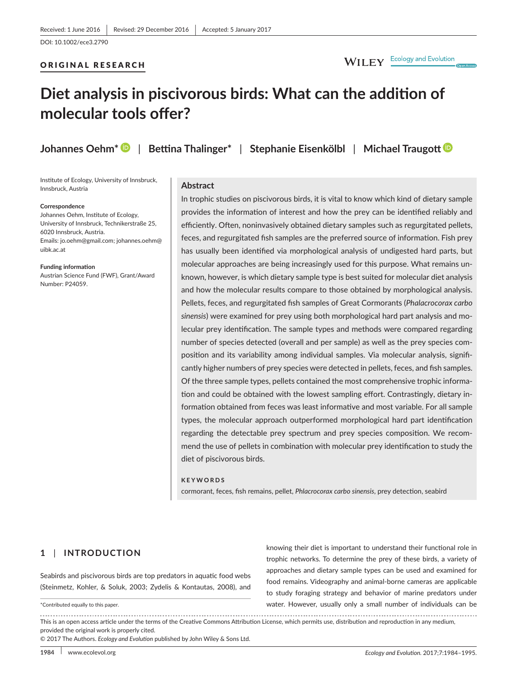## ORIGINAL RESEARCH

# **Diet analysis in piscivorous birds: What can the addition of molecular tools offer?**

**Johannes Oehm[\\*](http://orcid.org/0000-0001-6914-5353)** | **Bettina Thalinger\*** | **Stephanie Eisenkölbl** | **Michael Traugo[tt](http://orcid.org/0000-0001-9719-5059)**

Institute of Ecology, University of Innsbruck, Innsbruck, Austria

#### **Correspondence**

Johannes Oehm, Institute of Ecology, University of Innsbruck, Technikerstraße 25, 6020 Innsbruck, Austria. Emails: [jo.oehm@gmail.com;](mailto:jo.oehm@gmail.com) [johannes.oehm@](mailto:johannes.oehm@uibk.ac.at) [uibk.ac.at](mailto:johannes.oehm@uibk.ac.at)

**Funding information**

Austrian Science Fund (FWF), Grant/Award Number: P24059.

## **Abstract**

In trophic studies on piscivorous birds, it is vital to know which kind of dietary sample provides the information of interest and how the prey can be identified reliably and efficiently. Often, noninvasively obtained dietary samples such as regurgitated pellets, feces, and regurgitated fish samples are the preferred source of information. Fish prey has usually been identified via morphological analysis of undigested hard parts, but molecular approaches are being increasingly used for this purpose. What remains unknown, however, is which dietary sample type is best suited for molecular diet analysis and how the molecular results compare to those obtained by morphological analysis. Pellets, feces, and regurgitated fish samples of Great Cormorants (*Phalacrocorax carbo sinensis*) were examined for prey using both morphological hard part analysis and molecular prey identification. The sample types and methods were compared regarding number of species detected (overall and per sample) as well as the prey species composition and its variability among individual samples. Via molecular analysis, significantly higher numbers of prey species were detected in pellets, feces, and fish samples. Of the three sample types, pellets contained the most comprehensive trophic information and could be obtained with the lowest sampling effort. Contrastingly, dietary information obtained from feces was least informative and most variable. For all sample types, the molecular approach outperformed morphological hard part identification regarding the detectable prey spectrum and prey species composition. We recommend the use of pellets in combination with molecular prey identification to study the diet of piscivorous birds.

#### **KEYWORDS**

cormorant, feces, fish remains, pellet, *Phlacrocorax carbo sinensis*, prey detection, seabird

# **1** | **INTRODUCTION**

Seabirds and piscivorous birds are top predators in aquatic food webs (Steinmetz, Kohler, & Soluk, 2003; Zydelis & Kontautas, 2008), and

\*Contributed equally to this paper.

knowing their diet is important to understand their functional role in trophic networks. To determine the prey of these birds, a variety of approaches and dietary sample types can be used and examined for food remains. Videography and animal-borne cameras are applicable to study foraging strategy and behavior of marine predators under water. However, usually only a small number of individuals can be

This is an open access article under the terms of the [Creative Commons Attribution](http://creativecommons.org/licenses/by/4.0/) License, which permits use, distribution and reproduction in any medium, provided the original work is properly cited.

© 2017 The Authors. *Ecology and Evolution* published by John Wiley & Sons Ltd.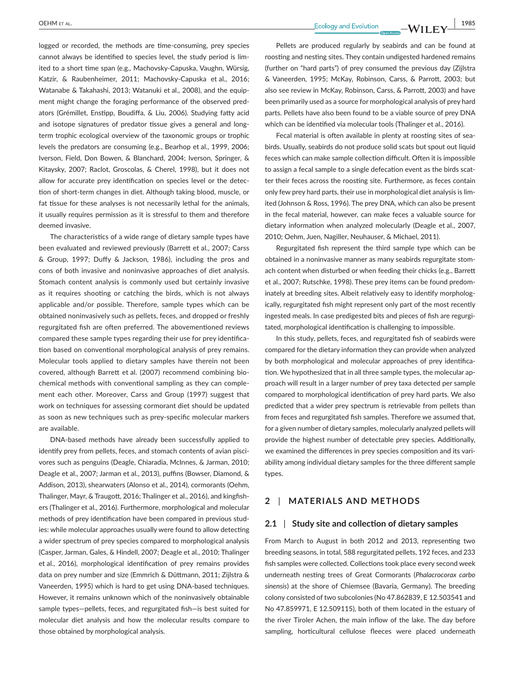logged or recorded, the methods are time-consuming, prey species cannot always be identified to species level, the study period is limited to a short time span (e.g., Machovsky-Capuska, Vaughn, Würsig, Katzir, & Raubenheimer, 2011; Machovsky-Capuska et al., 2016; Watanabe & Takahashi, 2013; Watanuki et al., 2008), and the equipment might change the foraging performance of the observed predators (Grémillet, Enstipp, Boudiffa, & Liu, 2006). Studying fatty acid and isotope signatures of predator tissue gives a general and longterm trophic ecological overview of the taxonomic groups or trophic levels the predators are consuming (e.g., Bearhop et al., 1999, 2006; Iverson, Field, Don Bowen, & Blanchard, 2004; Iverson, Springer, & Kitaysky, 2007; Raclot, Groscolas, & Cherel, 1998), but it does not allow for accurate prey identification on species level or the detection of short-term changes in diet. Although taking blood, muscle, or fat tissue for these analyses is not necessarily lethal for the animals, it usually requires permission as it is stressful to them and therefore deemed invasive.

The characteristics of a wide range of dietary sample types have been evaluated and reviewed previously (Barrett et al., 2007; Carss & Group, 1997; Duffy & Jackson, 1986), including the pros and cons of both invasive and noninvasive approaches of diet analysis. Stomach content analysis is commonly used but certainly invasive as it requires shooting or catching the birds, which is not always applicable and/or possible. Therefore, sample types which can be obtained noninvasively such as pellets, feces, and dropped or freshly regurgitated fish are often preferred. The abovementioned reviews compared these sample types regarding their use for prey identification based on conventional morphological analysis of prey remains. Molecular tools applied to dietary samples have therein not been covered, although Barrett et al. (2007) recommend combining biochemical methods with conventional sampling as they can complement each other. Moreover, Carss and Group (1997) suggest that work on techniques for assessing cormorant diet should be updated as soon as new techniques such as prey-specific molecular markers are available.

DNA-based methods have already been successfully applied to identify prey from pellets, feces, and stomach contents of avian piscivores such as penguins (Deagle, Chiaradia, McInnes, & Jarman, 2010; Deagle et al., 2007; Jarman et al., 2013), puffins (Bowser, Diamond, & Addison, 2013), shearwaters (Alonso et al., 2014), cormorants (Oehm, Thalinger, Mayr, & Traugott, 2016; Thalinger et al., 2016), and kingfishers (Thalinger et al., 2016). Furthermore, morphological and molecular methods of prey identification have been compared in previous studies: while molecular approaches usually were found to allow detecting a wider spectrum of prey species compared to morphological analysis (Casper, Jarman, Gales, & Hindell, 2007; Deagle et al., 2010; Thalinger et al., 2016), morphological identification of prey remains provides data on prey number and size (Emmrich & Düttmann, 2011; Zijlstra & Vaneerden, 1995) which is hard to get using DNA-based techniques. However, it remains unknown which of the noninvasively obtainable sample types—pellets, feces, and regurgitated fish—is best suited for molecular diet analysis and how the molecular results compare to those obtained by morphological analysis.

 **|** OEHM et al. **1985**

Pellets are produced regularly by seabirds and can be found at roosting and nesting sites. They contain undigested hardened remains (further on "hard parts") of prey consumed the previous day (Zijlstra & Vaneerden, 1995; McKay, Robinson, Carss, & Parrott, 2003; but also see review in McKay, Robinson, Carss, & Parrott, 2003) and have been primarily used as a source for morphological analysis of prey hard parts. Pellets have also been found to be a viable source of prey DNA which can be identified via molecular tools (Thalinger et al., 2016).

Fecal material is often available in plenty at roosting sites of seabirds. Usually, seabirds do not produce solid scats but spout out liquid feces which can make sample collection difficult. Often it is impossible to assign a fecal sample to a single defecation event as the birds scatter their feces across the roosting site. Furthermore, as feces contain only few prey hard parts, their use in morphological diet analysis is limited (Johnson & Ross, 1996). The prey DNA, which can also be present in the fecal material, however, can make feces a valuable source for dietary information when analyzed molecularly (Deagle et al., 2007, 2010; Oehm, Juen, Nagiller, Neuhauser, & Michael, 2011).

Regurgitated fish represent the third sample type which can be obtained in a noninvasive manner as many seabirds regurgitate stomach content when disturbed or when feeding their chicks (e.g., Barrett et al., 2007; Rutschke, 1998). These prey items can be found predominately at breeding sites. Albeit relatively easy to identify morphologically, regurgitated fish might represent only part of the most recently ingested meals. In case predigested bits and pieces of fish are regurgitated, morphological identification is challenging to impossible.

In this study, pellets, feces, and regurgitated fish of seabirds were compared for the dietary information they can provide when analyzed by both morphological and molecular approaches of prey identification. We hypothesized that in all three sample types, the molecular approach will result in a larger number of prey taxa detected per sample compared to morphological identification of prey hard parts. We also predicted that a wider prey spectrum is retrievable from pellets than from feces and regurgitated fish samples. Therefore we assumed that, for a given number of dietary samples, molecularly analyzed pellets will provide the highest number of detectable prey species. Additionally, we examined the differences in prey species composition and its variability among individual dietary samples for the three different sample types.

## **2** | **MATERIALS AND METHODS**

#### **2.1** | **Study site and collection of dietary samples**

From March to August in both 2012 and 2013, representing two breeding seasons, in total, 588 regurgitated pellets, 192 feces, and 233 fish samples were collected. Collections took place every second week underneath nesting trees of Great Cormorants (*Phalacrocorax carbo sinensis*) at the shore of Chiemsee (Bavaria, Germany). The breeding colony consisted of two subcolonies (No 47.862839, E 12.503541 and No 47.859971, E 12.509115), both of them located in the estuary of the river Tiroler Achen, the main inflow of the lake. The day before sampling, horticultural cellulose fleeces were placed underneath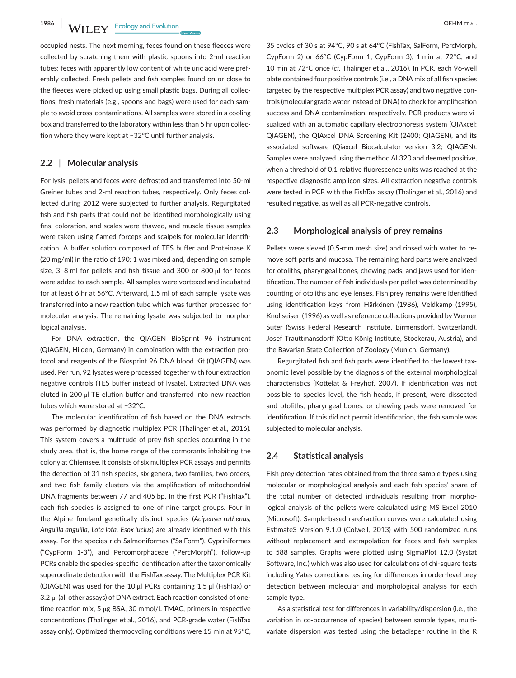**1986 WII FY** Ecology and Evolution **and Experiment Community COLL** 

occupied nests. The next morning, feces found on these fleeces were collected by scratching them with plastic spoons into 2-ml reaction tubes; feces with apparently low content of white uric acid were preferably collected. Fresh pellets and fish samples found on or close to the fleeces were picked up using small plastic bags. During all collections, fresh materials (e.g., spoons and bags) were used for each sample to avoid cross-contaminations. All samples were stored in a cooling box and transferred to the laboratory within less than 5 hr upon collection where they were kept at −32°C until further analysis.

## **2.2** | **Molecular analysis**

For lysis, pellets and feces were defrosted and transferred into 50-ml Greiner tubes and 2-ml reaction tubes, respectively. Only feces collected during 2012 were subjected to further analysis. Regurgitated fish and fish parts that could not be identified morphologically using fins, coloration, and scales were thawed, and muscle tissue samples were taken using flamed forceps and scalpels for molecular identification. A buffer solution composed of TES buffer and Proteinase K (20 mg/ml) in the ratio of 190: 1 was mixed and, depending on sample size, 3–8 ml for pellets and fish tissue and 300 or 800 μl for feces were added to each sample. All samples were vortexed and incubated for at least 6 hr at 56°C. Afterward, 1.5 ml of each sample lysate was transferred into a new reaction tube which was further processed for molecular analysis. The remaining lysate was subjected to morphological analysis.

For DNA extraction, the QIAGEN BioSprint 96 instrument (QIAGEN, Hilden, Germany) in combination with the extraction protocol and reagents of the Biosprint 96 DNA blood Kit (QIAGEN) was used. Per run, 92 lysates were processed together with four extraction negative controls (TES buffer instead of lysate). Extracted DNA was eluted in 200 μl TE elution buffer and transferred into new reaction tubes which were stored at −32°C.

The molecular identification of fish based on the DNA extracts was performed by diagnostic multiplex PCR (Thalinger et al., 2016). This system covers a multitude of prey fish species occurring in the study area, that is, the home range of the cormorants inhabiting the colony at Chiemsee. It consists of six multiplex PCR assays and permits the detection of 31 fish species, six genera, two families, two orders, and two fish family clusters via the amplification of mitochondrial DNA fragments between 77 and 405 bp. In the first PCR ("FishTax"), each fish species is assigned to one of nine target groups. Four in the Alpine foreland genetically distinct species (*Acipenser ruthenus, Anguilla anguilla, Lota lota, Esox lucius*) are already identified with this assay. For the species-rich Salmoniformes ("SalForm"), Cypriniformes ("CypForm 1-3"), and Percomorphaceae ("PercMorph"), follow-up PCRs enable the species-specific identification after the taxonomically superordinate detection with the FishTax assay. The Multiplex PCR Kit (QIAGEN) was used for the 10 μl PCRs containing 1.5 μl (FishTax) or 3.2 μl (all other assays) of DNA extract. Each reaction consisted of onetime reaction mix, 5 μg BSA, 30 mmol/L TMAC, primers in respective concentrations (Thalinger et al., 2016), and PCR-grade water (FishTax assay only). Optimized thermocycling conditions were 15 min at 95°C,

35 cycles of 30 s at 94°C, 90 s at 64°C (FishTax, SalForm, PercMorph, CypForm 2) or 66°C (CypForm 1, CypForm 3), 1 min at 72°C, and 10 min at 72°C once (*cf.* Thalinger et al., 2016). In PCR, each 96-well plate contained four positive controls (i.e., a DNA mix of all fish species targeted by the respective multiplex PCR assay) and two negative controls (molecular grade water instead of DNA) to check for amplification success and DNA contamination, respectively. PCR products were visualized with an automatic capillary electrophoresis system (QIAxcel; QIAGEN), the QIAxcel DNA Screening Kit (2400; QIAGEN), and its associated software (Qiaxcel Biocalculator version 3.2; QIAGEN). Samples were analyzed using the method AL320 and deemed positive, when a threshold of 0.1 relative fluorescence units was reached at the respective diagnostic amplicon sizes. All extraction negative controls were tested in PCR with the FishTax assay (Thalinger et al., 2016) and resulted negative, as well as all PCR-negative controls.

# **2.3** | **Morphological analysis of prey remains**

Pellets were sieved (0.5-mm mesh size) and rinsed with water to remove soft parts and mucosa. The remaining hard parts were analyzed for otoliths, pharyngeal bones, chewing pads, and jaws used for identification. The number of fish individuals per pellet was determined by counting of otoliths and eye lenses. Fish prey remains were identified using identification keys from Härkönen (1986), Veldkamp (1995), Knollseisen (1996) as well as reference collections provided by Werner Suter (Swiss Federal Research Institute, Birmensdorf, Switzerland), Josef Trauttmansdorff (Otto König Institute, Stockerau, Austria), and the Bavarian State Collection of Zoology (Munich, Germany).

Regurgitated fish and fish parts were identified to the lowest taxonomic level possible by the diagnosis of the external morphological characteristics (Kottelat & Freyhof, 2007). If identification was not possible to species level, the fish heads, if present, were dissected and otoliths, pharyngeal bones, or chewing pads were removed for identification. If this did not permit identification, the fish sample was subjected to molecular analysis.

## **2.4** | **Statistical analysis**

Fish prey detection rates obtained from the three sample types using molecular or morphological analysis and each fish species' share of the total number of detected individuals resulting from morphological analysis of the pellets were calculated using MS Excel 2010 (Microsoft). Sample-based rarefraction curves were calculated using EstimateS Version 9.1.0 (Colwell, 2013) with 500 randomized runs without replacement and extrapolation for feces and fish samples to 588 samples. Graphs were plotted using SigmaPlot 12.0 (Systat Software, Inc.) which was also used for calculations of chi-square tests including Yates corrections testing for differences in order-level prey detection between molecular and morphological analysis for each sample type.

As a statistical test for differences in variability/dispersion (i.e., the variation in co-occurrence of species) between sample types, multivariate dispersion was tested using the betadisper routine in the R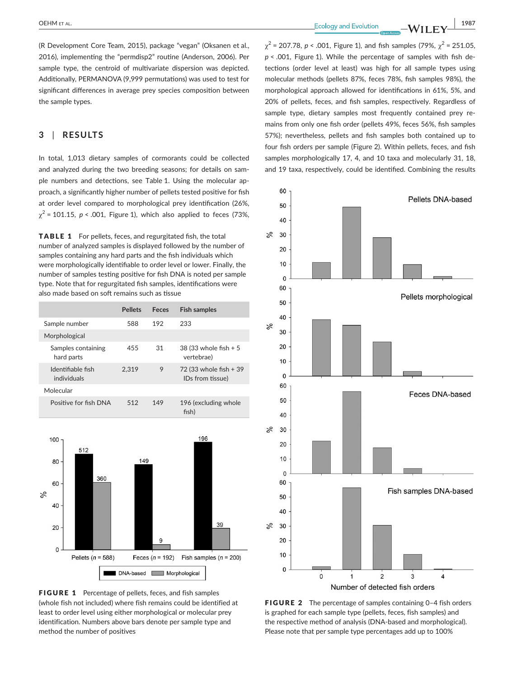(R Development Core Team, 2015), package "vegan" (Oksanen et al., 2016), implementing the "permdisp2" routine (Anderson, 2006). Per sample type, the centroid of multivariate dispersion was depicted. Additionally, PERMANOVA (9,999 permutations) was used to test for significant differences in average prey species composition between the sample types.

## **3** | **RESULTS**

In total, 1,013 dietary samples of cormorants could be collected and analyzed during the two breeding seasons; for details on sample numbers and detections, see Table 1. Using the molecular approach, a significantly higher number of pellets tested positive for fish at order level compared to morphological prey identification (26%,  $\gamma^2$  = 101.15, *p* < .001, Figure 1), which also applied to feces (73%,

TABLE 1 For pellets, feces, and regurgitated fish, the total number of analyzed samples is displayed followed by the number of samples containing any hard parts and the fish individuals which were morphologically identifiable to order level or lower. Finally, the number of samples testing positive for fish DNA is noted per sample type. Note that for regurgitated fish samples, identifications were also made based on soft remains such as tissue

|                                  | <b>Pellets</b> | Feces | <b>Fish samples</b>                        |
|----------------------------------|----------------|-------|--------------------------------------------|
| Sample number                    | 588            | 192   | 233                                        |
| Morphological                    |                |       |                                            |
| Samples containing<br>hard parts | 455            | 31    | 38 (33 whole fish + 5<br>vertebrae)        |
| Identifiable fish<br>individuals | 2.319          | 9     | 72 (33 whole fish + 39<br>IDs from tissue) |
| Molecular                        |                |       |                                            |
| Positive for fish DNA            | 512            | 149   | 196 (excluding whole<br>fish)              |
|                                  |                |       |                                            |



FIGURE 1 Percentage of pellets, feces, and fish samples (whole fish not included) where fish remains could be identified at least to order level using either morphological or molecular prey identification. Numbers above bars denote per sample type and method the number of positives

 **OEHM** ET AL.  **1987**<br> **Ecology** and Evolution **WILEY** 

 $\gamma^2$  = 207.78, *p* < .001, Figure 1), and fish samples (79%,  $\gamma^2$  = 251.05, *p* < .001, Figure 1). While the percentage of samples with fish detections (order level at least) was high for all sample types using molecular methods (pellets 87%, feces 78%, fish samples 98%), the morphological approach allowed for identifications in 61%, 5%, and 20% of pellets, feces, and fish samples, respectively. Regardless of sample type, dietary samples most frequently contained prey remains from only one fish order (pellets 49%, feces 56%, fish samples 57%); nevertheless, pellets and fish samples both contained up to four fish orders per sample (Figure 2). Within pellets, feces, and fish samples morphologically 17, 4, and 10 taxa and molecularly 31, 18, and 19 taxa, respectively, could be identified. Combining the results



FIGURE 2 The percentage of samples containing 0-4 fish orders is graphed for each sample type (pellets, feces, fish samples) and the respective method of analysis (DNA-based and morphological). Please note that per sample type percentages add up to 100%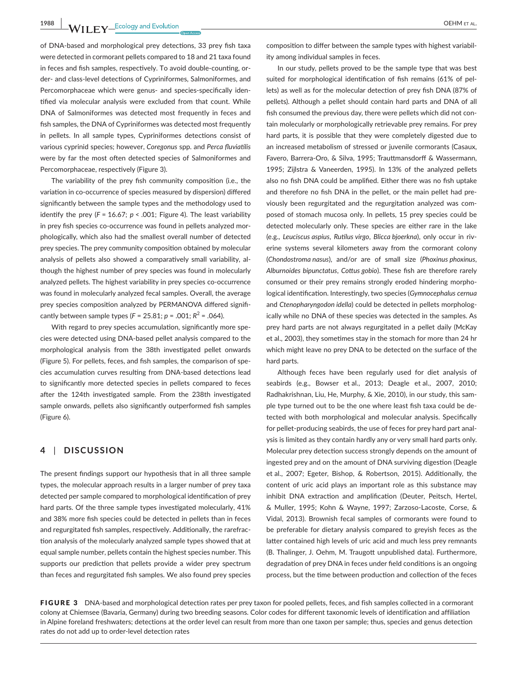**1988 WII FY** Ecology and Evolution **COLOGY COLOGY COLOGY COLOGY COLOGY COLOGY COLOGY COLOGY COLOGY COLOGY COLOGY COLOGY COLOGY COLOGY COLOGY COLOGY COLOGY COLOGY COLOGY COLOGY COLOG** 

of DNA-based and morphological prey detections, 33 prey fish taxa were detected in cormorant pellets compared to 18 and 21 taxa found in feces and fish samples, respectively. To avoid double-counting, order- and class-level detections of Cypriniformes, Salmoniformes, and Percomorphaceae which were genus- and species-specifically identified via molecular analysis were excluded from that count. While DNA of Salmoniformes was detected most frequently in feces and fish samples, the DNA of Cypriniformes was detected most frequently in pellets. In all sample types, Cypriniformes detections consist of various cyprinid species; however, *Coregonus* spp. and *Perca fluviatilis* were by far the most often detected species of Salmoniformes and Percomorphaceae, respectively (Figure 3).

The variability of the prey fish community composition (i.e., the variation in co-occurrence of species measured by dispersion) differed significantly between the sample types and the methodology used to identify the prey  $(F = 16.67; p < .001;$  Figure 4). The least variability in prey fish species co-occurrence was found in pellets analyzed morphologically, which also had the smallest overall number of detected prey species. The prey community composition obtained by molecular analysis of pellets also showed a comparatively small variability, although the highest number of prey species was found in molecularly analyzed pellets. The highest variability in prey species co-occurrence was found in molecularly analyzed fecal samples. Overall, the average prey species composition analyzed by PERMANOVA differed significantly between sample types  $(F = 25.81; p = .001; R^2 = .064)$ .

With regard to prey species accumulation, significantly more species were detected using DNA-based pellet analysis compared to the morphological analysis from the 38th investigated pellet onwards (Figure 5). For pellets, feces, and fish samples, the comparison of species accumulation curves resulting from DNA-based detections lead to significantly more detected species in pellets compared to feces after the 124th investigated sample. From the 238th investigated sample onwards, pellets also significantly outperformed fish samples (Figure 6).

## **4** | **DISCUSSION**

The present findings support our hypothesis that in all three sample types, the molecular approach results in a larger number of prey taxa detected per sample compared to morphological identification of prey hard parts. Of the three sample types investigated molecularly, 41% and 38% more fish species could be detected in pellets than in feces and regurgitated fish samples, respectively. Additionally, the rarefraction analysis of the molecularly analyzed sample types showed that at equal sample number, pellets contain the highest species number. This supports our prediction that pellets provide a wider prey spectrum than feces and regurgitated fish samples. We also found prey species

composition to differ between the sample types with highest variability among individual samples in feces.

In our study, pellets proved to be the sample type that was best suited for morphological identification of fish remains (61% of pellets) as well as for the molecular detection of prey fish DNA (87% of pellets). Although a pellet should contain hard parts and DNA of all fish consumed the previous day, there were pellets which did not contain molecularly or morphologically retrievable prey remains. For prey hard parts, it is possible that they were completely digested due to an increased metabolism of stressed or juvenile cormorants (Casaux, Favero, Barrera-Oro, & Silva, 1995; Trauttmansdorff & Wassermann, 1995; Zijlstra & Vaneerden, 1995). In 13% of the analyzed pellets also no fish DNA could be amplified. Either there was no fish uptake and therefore no fish DNA in the pellet, or the main pellet had previously been regurgitated and the regurgitation analyzed was composed of stomach mucosa only. In pellets, 15 prey species could be detected molecularly only. These species are either rare in the lake (e.g., *Leuciscus aspius*, *Rutilus virgo*, *Blicca bjoerkna*), only occur in riverine systems several kilometers away from the cormorant colony (*Chondostroma nasus*), and/or are of small size (*Phoxinus phoxinus*, *Alburnoides bipunctatus*, *Cottus gobio*). These fish are therefore rarely consumed or their prey remains strongly eroded hindering morphological identification. Interestingly, two species (*Gymnocephalus cernua* and *Ctenopharyngodon idella*) could be detected in pellets morphologically while no DNA of these species was detected in the samples. As prey hard parts are not always regurgitated in a pellet daily (McKay et al., 2003), they sometimes stay in the stomach for more than 24 hr which might leave no prey DNA to be detected on the surface of the hard parts.

Although feces have been regularly used for diet analysis of seabirds (e.g., Bowser et al., 2013; Deagle et al., 2007, 2010; Radhakrishnan, Liu, He, Murphy, & Xie, 2010), in our study, this sample type turned out to be the one where least fish taxa could be detected with both morphological and molecular analysis. Specifically for pellet-producing seabirds, the use of feces for prey hard part analysis is limited as they contain hardly any or very small hard parts only. Molecular prey detection success strongly depends on the amount of ingested prey and on the amount of DNA surviving digestion (Deagle et al., 2007; Egeter, Bishop, & Robertson, 2015). Additionally, the content of uric acid plays an important role as this substance may inhibit DNA extraction and amplification (Deuter, Peitsch, Hertel, & Muller, 1995; Kohn & Wayne, 1997; Zarzoso-Lacoste, Corse, & Vidal, 2013). Brownish fecal samples of cormorants were found to be preferable for dietary analysis compared to greyish feces as the latter contained high levels of uric acid and much less prey remnants (B. Thalinger, J. Oehm, M. Traugott unpublished data). Furthermore, degradation of prey DNA in feces under field conditions is an ongoing process, but the time between production and collection of the feces

FIGURE 3 DNA-based and morphological detection rates per prey taxon for pooled pellets, feces, and fish samples collected in a cormorant colony at Chiemsee (Bavaria, Germany) during two breeding seasons. Color codes for different taxonomic levels of identification and affiliation in Alpine foreland freshwaters; detections at the order level can result from more than one taxon per sample; thus, species and genus detection rates do not add up to order-level detection rates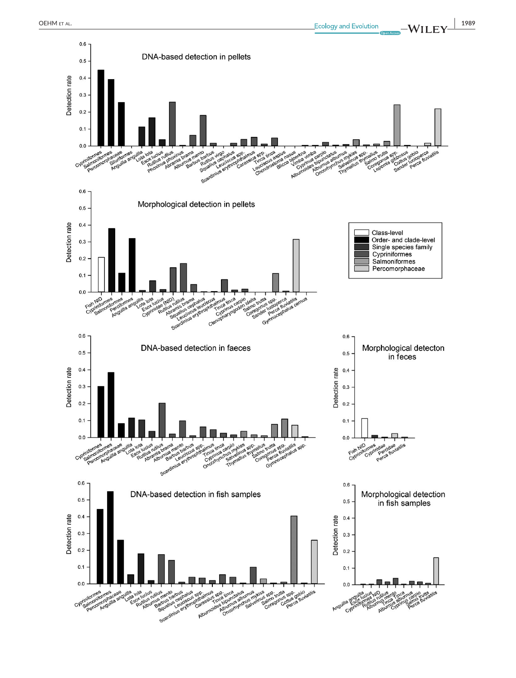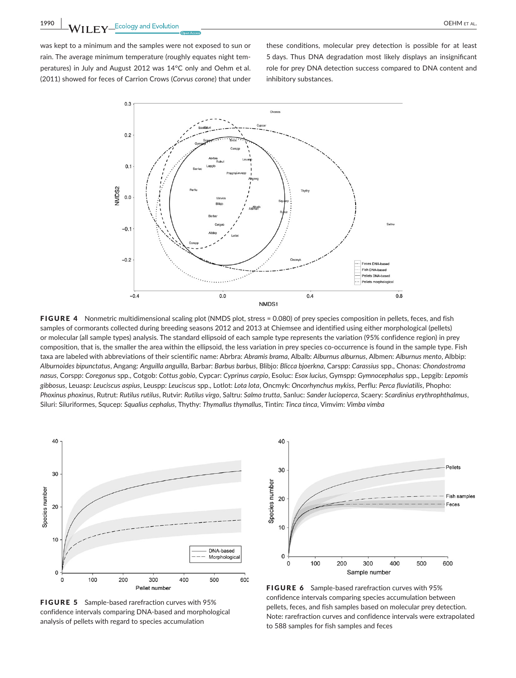**1990 MILLOW EX** Ecology and Evolution **COLOGY AND A COLOGY AND A COLOGY AND A COLOGY AND A COLOGY AND A COLOGY AND A COLOGY AND A COLOGY AND A COLOGY AND A COLOGY AND A COLOGY AND A COLOGY AND A COLOGY AND A COLOGY AND A** 

was kept to a minimum and the samples were not exposed to sun or rain. The average minimum temperature (roughly equates night temperatures) in July and August 2012 was 14°C only and Oehm et al. (2011) showed for feces of Carrion Crows (*Corvus corone*) that under

these conditions, molecular prey detection is possible for at least 5 days. Thus DNA degradation most likely displays an insignificant role for prey DNA detection success compared to DNA content and inhibitory substances.



FIGURE 4 Nonmetric multidimensional scaling plot (NMDS plot, stress = 0.080) of prey species composition in pellets, feces, and fish samples of cormorants collected during breeding seasons 2012 and 2013 at Chiemsee and identified using either morphological (pellets) or molecular (all sample types) analysis. The standard ellipsoid of each sample type represents the variation (95% confidence region) in prey composition, that is, the smaller the area within the ellipsoid, the less variation in prey species co-occurrence is found in the sample type. Fish taxa are labeled with abbreviations of their scientific name: Abrbra: *Abramis brama*, Albalb: *Alburnus alburnus*, Albmen: *Alburnus mento*, Albbip: *Alburnoides bipunctatus*, Angang: *Anguilla anguilla*, Barbar: *Barbus barbus*, Blibjo: *Blicca bjoerkna*, Carspp: *Carassius* spp., Chonas: *Chondostroma nasus*, Corspp: *Coregonus* spp., Cotgob: *Cottus gobio*, Cypcar: *Cyprinus carpio*, Esoluc: *Esox lucius*, Gymspp: *Gymnocephalus* spp., Lepgib: *Lepomis gibbosus*, Leuasp: *Leuciscus aspius*, Leuspp: *Leuciscus* spp., Lotlot: *Lota lota*, Oncmyk: *Oncorhynchus mykiss*, Perflu: *Perca fluviatilis*, Phopho: *Phoxinus phoxinus*, Rutrut: *Rutilus rutilus*, Rutvir: *Rutilus virgo*, Saltru: *Salmo trutta*, Sanluc: *Sander lucioperca*, Scaery: *Scardinius erythrophthalmus*, Siluri: Siluriformes, Squcep: *Squalius cephalus*, Thythy: *Thymallus thymallus*, Tintin: *Tinca tinca*, Vimvim: *Vimba vimba*



FIGURE 5 Sample-based rarefraction curves with 95% confidence intervals comparing DNA-based and morphological analysis of pellets with regard to species accumulation



FIGURE 6 Sample-based rarefraction curves with 95% confidence intervals comparing species accumulation between pellets, feces, and fish samples based on molecular prey detection. Note: rarefraction curves and confidence intervals were extrapolated to 588 samples for fish samples and feces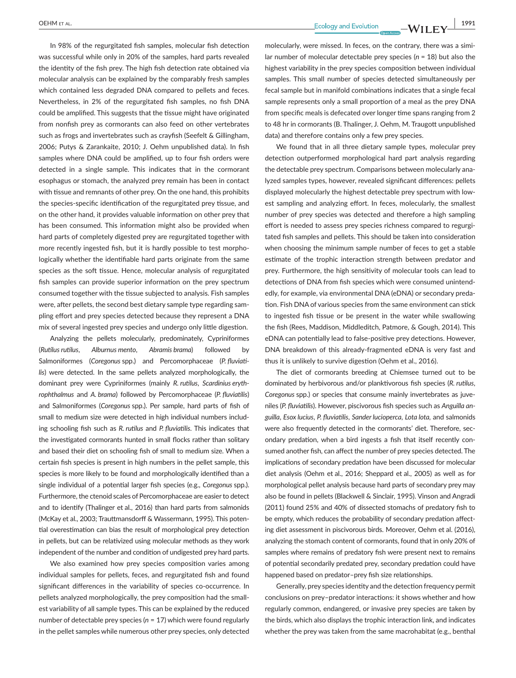In 98% of the regurgitated fish samples, molecular fish detection was successful while only in 20% of the samples, hard parts revealed the identity of the fish prey. The high fish detection rate obtained via molecular analysis can be explained by the comparably fresh samples which contained less degraded DNA compared to pellets and feces. Nevertheless, in 2% of the regurgitated fish samples, no fish DNA could be amplified. This suggests that the tissue might have originated from nonfish prey as cormorants can also feed on other vertebrates such as frogs and invertebrates such as crayfish (Seefelt & Gillingham, 2006; Putys & Zarankaite, 2010; J. Oehm unpublished data). In fish samples where DNA could be amplified, up to four fish orders were detected in a single sample. This indicates that in the cormorant esophagus or stomach, the analyzed prey remain has been in contact with tissue and remnants of other prey. On the one hand, this prohibits the species-specific identification of the regurgitated prey tissue, and on the other hand, it provides valuable information on other prey that has been consumed. This information might also be provided when hard parts of completely digested prey are regurgitated together with more recently ingested fish, but it is hardly possible to test morphologically whether the identifiable hard parts originate from the same species as the soft tissue. Hence, molecular analysis of regurgitated fish samples can provide superior information on the prey spectrum consumed together with the tissue subjected to analysis. Fish samples were, after pellets, the second best dietary sample type regarding sampling effort and prey species detected because they represent a DNA mix of several ingested prey species and undergo only little digestion.

Analyzing the pellets molecularly, predominately, Cypriniformes (*Rutilus rutilus*, *Alburnus mento*, *Abramis brama*) followed by Salmoniformes (*Coregonus* spp.) and Percomorphaceae (*P. fluviatilis*) were detected. In the same pellets analyzed morphologically, the dominant prey were Cypriniformes (mainly *R. rutilus*, *Scardinius erythrophthalmus* and *A. brama*) followed by Percomorphaceae (*P. fluviatilis*) and Salmoniformes (*Coregonus* spp.). Per sample, hard parts of fish of small to medium size were detected in high individual numbers including schooling fish such as *R. rutilus* and *P. fluviatilis*. This indicates that the investigated cormorants hunted in small flocks rather than solitary and based their diet on schooling fish of small to medium size. When a certain fish species is present in high numbers in the pellet sample, this species is more likely to be found and morphologically identified than a single individual of a potential larger fish species (e.g., *Coregonus* spp.). Furthermore, the ctenoid scales of Percomorphaceae are easier to detect and to identify (Thalinger et al., 2016) than hard parts from salmonids (McKay et al., 2003; Trauttmansdorff & Wassermann, 1995). This potential overestimation can bias the result of morphological prey detection in pellets, but can be relativized using molecular methods as they work independent of the number and condition of undigested prey hard parts.

We also examined how prey species composition varies among individual samples for pellets, feces, and regurgitated fish and found significant differences in the variability of species co-occurrence. In pellets analyzed morphologically, the prey composition had the smallest variability of all sample types. This can be explained by the reduced number of detectable prey species (*n* = 17) which were found regularly in the pellet samples while numerous other prey species, only detected

 **OEHM** ET AL.  **1991 1991 1991 1991 1991 1991 1991 1991 1991 1991 1991 1991 1991** 

molecularly, were missed. In feces, on the contrary, there was a similar number of molecular detectable prey species (*n* = 18) but also the highest variability in the prey species composition between individual samples. This small number of species detected simultaneously per fecal sample but in manifold combinations indicates that a single fecal sample represents only a small proportion of a meal as the prey DNA from specific meals is defecated over longer time spans ranging from 2 to 48 hr in cormorants (B. Thalinger, J. Oehm, M. Traugott unpublished data) and therefore contains only a few prey species.

We found that in all three dietary sample types, molecular prey detection outperformed morphological hard part analysis regarding the detectable prey spectrum. Comparisons between molecularly analyzed samples types, however, revealed significant differences: pellets displayed molecularly the highest detectable prey spectrum with lowest sampling and analyzing effort. In feces, molecularly, the smallest number of prey species was detected and therefore a high sampling effort is needed to assess prey species richness compared to regurgitated fish samples and pellets. This should be taken into consideration when choosing the minimum sample number of feces to get a stable estimate of the trophic interaction strength between predator and prey. Furthermore, the high sensitivity of molecular tools can lead to detections of DNA from fish species which were consumed unintendedly, for example, via environmental DNA (eDNA) or secondary predation. Fish DNA of various species from the same environment can stick to ingested fish tissue or be present in the water while swallowing the fish (Rees, Maddison, Middleditch, Patmore, & Gough, 2014). This eDNA can potentially lead to false-positive prey detections. However, DNA breakdown of this already-fragmented eDNA is very fast and thus it is unlikely to survive digestion (Oehm et al., 2016).

The diet of cormorants breeding at Chiemsee turned out to be dominated by herbivorous and/or planktivorous fish species (*R. rutilus*, *Coregonus* spp.) or species that consume mainly invertebrates as juveniles (*P. fluviatilis*). However, piscivorous fish species such as *Anguilla anguilla*, *Esox lucius*, *P. fluviatilis*, *Sander lucioperca*, *Lota lota,* and salmonids were also frequently detected in the cormorants' diet. Therefore, secondary predation, when a bird ingests a fish that itself recently consumed another fish, can affect the number of prey species detected. The implications of secondary predation have been discussed for molecular diet analysis (Oehm et al., 2016; Sheppard et al., 2005) as well as for morphological pellet analysis because hard parts of secondary prey may also be found in pellets (Blackwell & Sinclair, 1995). Vinson and Angradi (2011) found 25% and 40% of dissected stomachs of predatory fish to be empty, which reduces the probability of secondary predation affecting diet assessment in piscivorous birds. Moreover, Oehm et al. (2016), analyzing the stomach content of cormorants, found that in only 20% of samples where remains of predatory fish were present next to remains of potential secondarily predated prey, secondary predation could have happened based on predator–prey fish size relationships.

Generally, prey species identity and the detection frequency permit conclusions on prey–predator interactions: it shows whether and how regularly common, endangered, or invasive prey species are taken by the birds, which also displays the trophic interaction link, and indicates whether the prey was taken from the same macrohabitat (e.g., benthal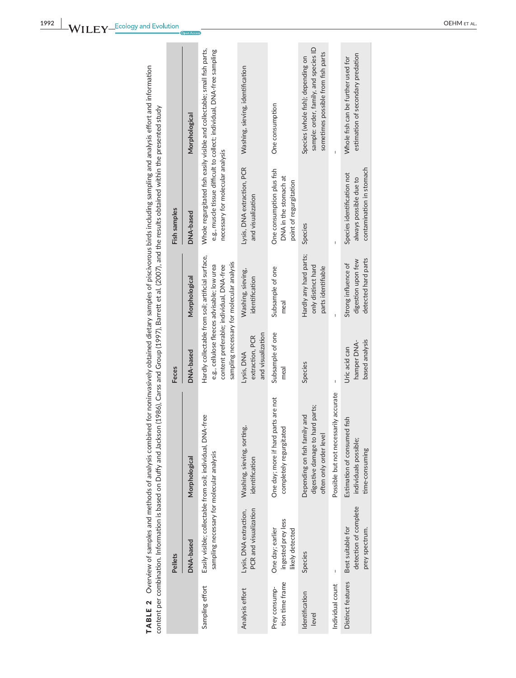| Sampling effort<br>Analysis effort | sampling necessary for molecular analysis<br>PCR and visualization<br>Lysis, DNA extraction,<br>DNA-based<br>Pellets | Easily visible; collectable from soil; individual, DNA-free<br>Washing, sieving, sorting,<br>identification<br>Morphological | and visualization<br>extraction, PCR<br>DNA-based<br>Lysis, DNA<br><b>Feces</b> | Hardly collectable from soil; artificial surface,<br>sampling necessary for molecular analysis<br>e.g., cellulose fleeces advisable; low urea<br>content preferable; individual, DNA-free<br>Washing, sieving,<br>identification<br>Morphological | necessary for molecular analysis<br>Lysis, DNA extraction, PCR<br>and visualization<br>Fish samples<br>DNA-based | Whole regurgitated fish easily visible and collectable; small fish parts,<br>e.g., muscle tissue difficult to collect; individual, DNA-free sampling<br>Washing, sieving, identification<br>Morphological |
|------------------------------------|----------------------------------------------------------------------------------------------------------------------|------------------------------------------------------------------------------------------------------------------------------|---------------------------------------------------------------------------------|---------------------------------------------------------------------------------------------------------------------------------------------------------------------------------------------------------------------------------------------------|------------------------------------------------------------------------------------------------------------------|-----------------------------------------------------------------------------------------------------------------------------------------------------------------------------------------------------------|
|                                    | ingested prey less<br>One day; earlier<br>likely detected                                                            | One day; more if hard parts are not<br>completely regurgitated                                                               | Subsample of one<br>meal                                                        | Subsample of one<br>meal                                                                                                                                                                                                                          | One consumption plus fish<br>DNA in the stomach at<br>point of regurgitation                                     | One consumption                                                                                                                                                                                           |
|                                    | Species                                                                                                              | digestive damage to hard parts;<br>Depending on fish family and<br>often only order level                                    | Species                                                                         | Hardly any hard parts;<br>only distinct hard<br>parts identifiable                                                                                                                                                                                | Species                                                                                                          | sample: order, family, and species ID<br>sometimes possible from fish parts<br>Species (whole fish); depending on                                                                                         |
|                                    | I                                                                                                                    | Possible but not necessarily accurate                                                                                        | I                                                                               |                                                                                                                                                                                                                                                   | I                                                                                                                |                                                                                                                                                                                                           |
|                                    | detection of complete<br>Best suitable for<br>prey spectrum.                                                         | Estimation of consumed fish<br>individuals possible;<br>time-consuming                                                       | based analysis<br>hamper DNA-<br>Uric acid can                                  | detected hard parts<br>digestion upon few<br>Strong influence of                                                                                                                                                                                  | contamination in stomach<br>Species identification not<br>always possible due to                                 | estimation of secondary predation<br>Whole fish can be further used for                                                                                                                                   |

TABLE 2 Overview of samples and methods of analysis combined for noninvasively obtained dietary samples of piscivorous birds including sampling and analysis effort and information TABLE 2 Overview of samples and methods of analysis combined for noninvasively obtained dietary samples of piscivorous birds including sampling and analysis effort and information content per combination. Information is based on Duffy and Jackson (1986), Carss and Group (1997), Barrett et al. (2007), and the results obtained within the presented study content per combination. Information is based on Duffy and Jackson (1986), Carss and Group (1997), Barrett et al. (2007), and the results obtained within the presented study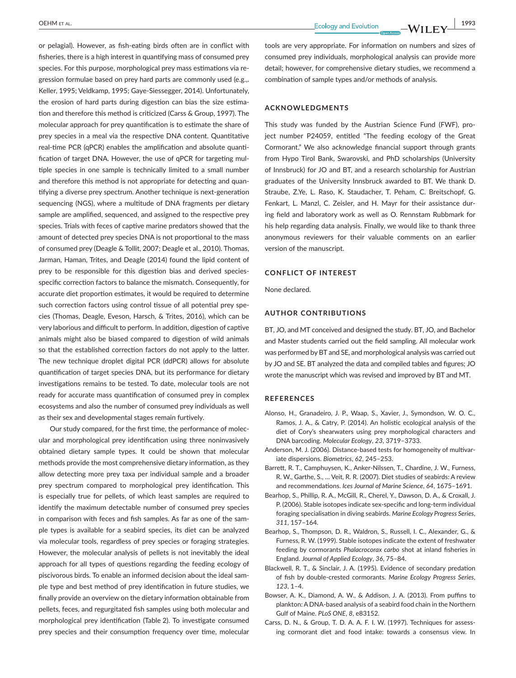or pelagial). However, as fish-eating birds often are in conflict with fisheries, there is a high interest in quantifying mass of consumed prey species. For this purpose, morphological prey mass estimations via regression formulae based on prey hard parts are commonly used (e.g.,. Keller, 1995; Veldkamp, 1995; Gaye-Siessegger, 2014). Unfortunately, the erosion of hard parts during digestion can bias the size estimation and therefore this method is criticized (Carss & Group, 1997). The molecular approach for prey quantification is to estimate the share of prey species in a meal via the respective DNA content. Quantitative real-time PCR (qPCR) enables the amplification and absolute quantification of target DNA. However, the use of qPCR for targeting multiple species in one sample is technically limited to a small number and therefore this method is not appropriate for detecting and quantifying a diverse prey spectrum. Another technique is next-generation sequencing (NGS), where a multitude of DNA fragments per dietary sample are amplified, sequenced, and assigned to the respective prey species. Trials with feces of captive marine predators showed that the amount of detected prey species DNA is not proportional to the mass of consumed prey (Deagle & Tollit, 2007; Deagle et al., 2010). Thomas, Jarman, Haman, Trites, and Deagle (2014) found the lipid content of prey to be responsible for this digestion bias and derived speciesspecific correction factors to balance the mismatch. Consequently, for accurate diet proportion estimates, it would be required to determine such correction factors using control tissue of all potential prey species (Thomas, Deagle, Eveson, Harsch, & Trites, 2016), which can be very laborious and difficult to perform. In addition, digestion of captive animals might also be biased compared to digestion of wild animals so that the established correction factors do not apply to the latter. The new technique droplet digital PCR (ddPCR) allows for absolute quantification of target species DNA, but its performance for dietary investigations remains to be tested. To date, molecular tools are not ready for accurate mass quantification of consumed prey in complex ecosystems and also the number of consumed prey individuals as well as their sex and developmental stages remain furtively.

Our study compared, for the first time, the performance of molecular and morphological prey identification using three noninvasively obtained dietary sample types. It could be shown that molecular methods provide the most comprehensive dietary information, as they allow detecting more prey taxa per individual sample and a broader prey spectrum compared to morphological prey identification. This is especially true for pellets, of which least samples are required to identify the maximum detectable number of consumed prey species in comparison with feces and fish samples. As far as one of the sample types is available for a seabird species, its diet can be analyzed via molecular tools, regardless of prey species or foraging strategies. However, the molecular analysis of pellets is not inevitably the ideal approach for all types of questions regarding the feeding ecology of piscivorous birds. To enable an informed decision about the ideal sample type and best method of prey identification in future studies, we finally provide an overview on the dietary information obtainable from pellets, feces, and regurgitated fish samples using both molecular and morphological prey identification (Table 2). To investigate consumed prey species and their consumption frequency over time, molecular

tools are very appropriate. For information on numbers and sizes of consumed prey individuals, morphological analysis can provide more detail; however, for comprehensive dietary studies, we recommend a combination of sample types and/or methods of analysis.

### **ACKNOWLEDGMENTS**

This study was funded by the Austrian Science Fund (FWF), project number P24059, entitled "The feeding ecology of the Great Cormorant." We also acknowledge financial support through grants from Hypo Tirol Bank, Swarovski, and PhD scholarships (University of Innsbruck) for JO and BT, and a research scholarship for Austrian graduates of the University Innsbruck awarded to BT. We thank D. Straube, Z.Ye, L. Raso, K. Staudacher, T. Peham, C. Breitschopf, G. Fenkart, L. Manzl, C. Zeisler, and H. Mayr for their assistance during field and laboratory work as well as O. Rennstam Rubbmark for his help regarding data analysis. Finally, we would like to thank three anonymous reviewers for their valuable comments on an earlier version of the manuscript.

## **CONFLICT OF INTEREST**

None declared.

## **AUTHOR CONTRIBUTIONS**

BT, JO, and MT conceived and designed the study. BT, JO, and Bachelor and Master students carried out the field sampling. All molecular work was performed by BT and SE, and morphological analysis was carried out by JO and SE. BT analyzed the data and compiled tables and figures; JO wrote the manuscript which was revised and improved by BT and MT.

### **REFERENCES**

- Alonso, H., Granadeiro, J. P., Waap, S., Xavier, J., Symondson, W. O. C., Ramos, J. A., & Catry, P. (2014). An holistic ecological analysis of the diet of Cory's shearwaters using prey morphological characters and DNA barcoding. *Molecular Ecology*, *23*, 3719–3733.
- Anderson, M. J. (2006). Distance-based tests for homogeneity of multivariate dispersions. *Biometrics*, *62*, 245–253.
- Barrett, R. T., Camphuysen, K., Anker-Nilssen, T., Chardine, J. W., Furness, R. W., Garthe, S., … Veit, R. R. (2007). Diet studies of seabirds: A review and recommendations. *Ices Journal of Marine Science*, *64*, 1675–1691.
- Bearhop, S., Phillip, R. A., McGill, R., Cherel, Y., Dawson, D. A., & Croxall, J. P. (2006). Stable isotopes indicate sex-specific and long-term individual foraging specialisation in diving seabirds. *Marine Ecology Progress Series*, *311*, 157–164.
- Bearhop, S., Thompson, D. R., Waldron, S., Russell, I. C., Alexander, G., & Furness, R. W. (1999). Stable isotopes indicate the extent of freshwater feeding by cormorants *Phalacrocorax carbo* shot at inland fisheries in England. *Journal of Applied Ecology*, *36*, 75–84.
- Blackwell, R. T., & Sinclair, J. A. (1995). Evidence of secondary predation of fish by double-crested cormorants. *Marine Ecology Progress Series*, *123*, 1–4.
- Bowser, A. K., Diamond, A. W., & Addison, J. A. (2013). From puffins to plankton: A DNA-based analysis of a seabird food chain in the Northern Gulf of Maine. *PLoS ONE*, *8*, e83152.
- Carss, D. N., & Group, T. D. A. A. F. I. W. (1997). Techniques for assessing cormorant diet and food intake: towards a consensus view. In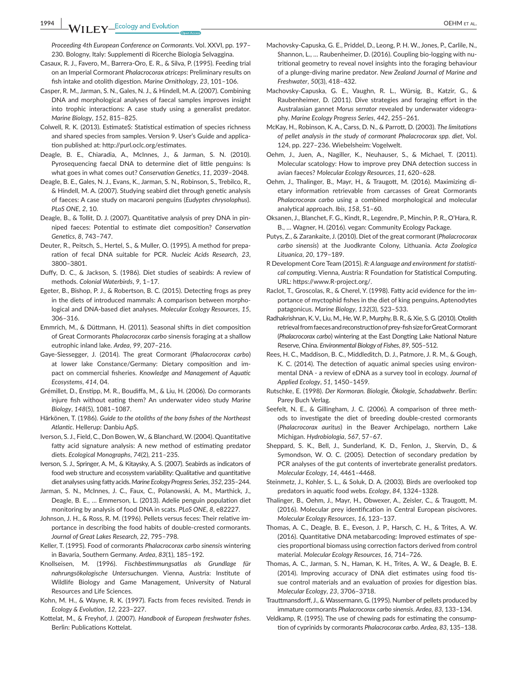**1994 WII FY** Ecology and Evolution <u>Communication and the set of the set of the set of the set of the set of the set of the set of the set of the set of the set of the set of the set of the set of the set of the set of th</u>

*Proceeding 4th European Conference on Cormorants*. Vol. XXVI, pp. 197– 230. Bologny, Italy: Supplementi di Ricerche Biologia Selvaggina.

- Casaux, R. J., Favero, M., Barrera-Oro, E. R., & Silva, P. (1995). Feeding trial on an Imperial Cormorant *Phalacrocorax atriceps*: Preliminary results on fish intake and otolith digestion. *Marine Ornithology*, *23*, 101–106.
- Casper, R. M., Jarman, S. N., Gales, N. J., & Hindell, M. A. (2007). Combining DNA and morphological analyses of faecal samples improves insight into trophic interactions: A case study using a generalist predator. *Marine Biology*, *152*, 815–825.
- Colwell, R. K. (2013). EstimateS: Statistical estimation of species richness and shared species from samples. Version 9. User's Guide and application published at: http://purl.oclc.org/estimates.
- Deagle, B. E., Chiaradia, A., McInnes, J., & Jarman, S. N. (2010). Pyrosequencing faecal DNA to determine diet of little penguins: Is what goes in what comes out? *Conservation Genetics*, *11*, 2039–2048.
- Deagle, B. E., Gales, N. J., Evans, K., Jarman, S. N., Robinson, S., Trebilco, R., & Hindell, M. A. (2007). Studying seabird diet through genetic analysis of faeces: A case study on macaroni penguins (*Eudyptes chrysolophus*). *PLoS ONE*, *2*, 10.
- Deagle, B., & Tollit, D. J. (2007). Quantitative analysis of prey DNA in pinniped faeces: Potential to estimate diet composition? *Conservation Genetics*, *8*, 743–747.
- Deuter, R., Peitsch, S., Hertel, S., & Muller, O. (1995). A method for preparation of fecal DNA suitable for PCR. *Nucleic Acids Research*, *23*, 3800–3801.
- Duffy, D. C., & Jackson, S. (1986). Diet studies of seabirds: A review of methods. *Colonial Waterbirds*, *9*, 1–17.
- Egeter, B., Bishop, P. J., & Robertson, B. C. (2015). Detecting frogs as prey in the diets of introduced mammals: A comparison between morphological and DNA-based diet analyses. *Molecular Ecology Resources*, *15*, 306–316.
- Emmrich, M., & Düttmann, H. (2011). Seasonal shifts in diet composition of Great Cormorants *Phalacrocorax carbo* sinensis foraging at a shallow eutrophic inland lake. *Ardea*, *99*, 207–216.
- Gaye-Siessegger, J. (2014). The great Cormorant (*Phalacrocorax carbo*) at lower lake Constance/Germany: Dietary composition and impact on commercial fisheries. *Knowledge and Management of Aquatic Ecosystems*, *414*, 04.
- Grémillet, D., Enstipp, M. R., Boudiffa, M., & Liu, H. (2006). Do cormorants injure fish without eating them? An underwater video study *Marine Biology*, *148*(5), 1081–1087.
- Härkönen, T. (1986). *Guide to the otoliths of the bony fishes of the Northeast Atlantic*. Hellerup: Danbiu ApS.
- Iverson, S. J., Field, C., Don Bowen, W., & Blanchard, W. (2004). Quantitative fatty acid signature analysis: A new method of estimating predator diets. *Ecological Monographs*, *74*(2), 211–235.
- Iverson, S. J., Springer, A. M., & Kitaysky, A. S. (2007). Seabirds as indicators of food web structure and ecosystem variability: Qualitative and quantitative diet analyses using fatty acids. *Marine Ecology Progress Series*, *352*, 235–244.
- Jarman, S. N., McInnes, J. C., Faux, C., Polanowski, A. M., Marthick, J., Deagle, B. E., … Emmerson, L. (2013). Adelie penguin population diet monitoring by analysis of food DNA in scats. *PLoS ONE*, *8*, e82227.
- Johnson, J. H., & Ross, R. M. (1996). Pellets versus feces: Their relative importance in describing the food habits of double-crested cormorants. *Journal of Great Lakes Research*, *22*, 795–798.
- Keller, T. (1995). Food of cormorants *Phalacrocorax carbo sinensis* wintering in Bavaria, Southern Germany. *Ardea*, *83*(1), 185–192.
- Knollseisen, M. (1996). *Fischbestimmungsatlas als Grundlage für nahrungsökologische Untersuchungen*. Vienna, Austria: Institute of Wildlife Biology and Game Management, University of Natural Resources and Life Sciences.
- Kohn, M. H., & Wayne, R. K. (1997). Facts from feces revisited. *Trends in Ecology & Evolution*, *12*, 223–227.
- Kottelat, M., & Freyhof, J. (2007). *Handbook of European freshwater fishes*. Berlin: Publications Kottelat.
- Machovsky-Capuska, G. E., Priddel, D., Leong, P. H. W., Jones, P., Carlile, N., Shannon, L., ... Raubenheimer, D. (2016). Coupling bio-logging with nutritional geometry to reveal novel insights into the foraging behaviour of a plunge-diving marine predator. *New Zealand Journal of Marine and Freshwater*, *50*(3), 418–432.
- Machovsky-Capuska, G. E., Vaughn, R. L., Würsig, B., Katzir, G., & Raubenheimer, D. (2011). Dive strategies and foraging effort in the Australasian gannet *Morus serrator* revealed by underwater videography. *Marine Ecology Progress Series*, *442*, 255–261.
- McKay, H., Robinson, K. A., Carss, D. N., & Parrott, D. (2003). *The limitations of pellet analysis in the study of cormorant Phalacrocorax spp. diet*, Vol. 124, pp. 227–236. Wiebelsheim: Vogelwelt.
- Oehm, J., Juen, A., Nagiller, K., Neuhauser, S., & Michael, T. (2011). Molecular scatology: How to improve prey DNA detection success in avian faeces? *Molecular Ecology Resources*, *11*, 620–628.
- Oehm, J., Thalinger, B., Mayr, H., & Traugott, M. (2016). Maximizing dietary information retrievable from carcasses of Great Cormorants *Phalacrocorax carbo* using a combined morphological and molecular analytical approach. *Ibis*, *158*, 51–60.
- Oksanen, J., Blanchet, F. G., Kindt, R., Legendre, P., Minchin, P. R., O'Hara, R. B., … Wagner, H. (2016). vegan: Community Ecology Package.
- Putys, Z., & Zarankaite, J. (2010). Diet of the great cormorant (*Phalacrocorax carbo sinensis*) at the Juodkrante Colony, Lithuania. *Acta Zoologica Lituanica*, *20*, 179–189.
- R Development Core Team (2015). *R: A language and environment for statistical computing*. Vienna, Austria: R Foundation for Statistical Computing. URL: [https://www.R-project.org/.](https://www.R-project.org/)
- Raclot, T., Groscolas, R., & Cherel, Y. (1998). Fatty acid evidence for the importance of myctophid fishes in the diet of king penguins, Aptenodytes patagonicus. *Marine Biology*, *132*(3), 523–533.
- Radhakrishnan, K. V., Liu, M., He, W. P., Murphy, B. R., & Xie, S. G. (2010). Otolith retrieval from faeces and reconstruction of prey-fish size for Great Cormorant (*Phalacrocorax carbo*) wintering at the East Dongting Lake National Nature Reserve, China. *Environmental Biology of Fishes*, *89*, 505–512.
- Rees, H. C., Maddison, B. C., Middleditch, D. J., Patmore, J. R. M., & Gough, K. C. (2014). The detection of aquatic animal species using environmental DNA - a review of eDNA as a survey tool in ecology. *Journal of Applied Ecology*, *51*, 1450–1459.
- Rutschke, E. (1998). *Der Kormoran. Biologie, Ökologie, Schadabwehr*. Berlin: Parey Buch Verlag.
- Seefelt, N. E., & Gillingham, J. C. (2006). A comparison of three methods to investigate the diet of breeding double-crested cormorants (*Phalacrocorax auritus*) in the Beaver Archipelago, northern Lake Michigan. *Hydrobiologia*, *567*, 57–67.
- Sheppard, S. K., Bell, J., Sunderland, K. D., Fenlon, J., Skervin, D., & Symondson, W. O. C. (2005). Detection of secondary predation by PCR analyses of the gut contents of invertebrate generalist predators. *Molecular Ecology*, *14*, 4461–4468.
- Steinmetz, J., Kohler, S. L., & Soluk, D. A. (2003). Birds are overlooked top predators in aquatic food webs. *Ecology*, *84*, 1324–1328.
- Thalinger, B., Oehm, J., Mayr, H., Obwexer, A., Zeisler, C., & Traugott, M. (2016). Molecular prey identification in Central European piscivores. *Molecular Ecology Resources*, *16*, 123–137.
- Thomas, A. C., Deagle, B. E., Eveson, J. P., Harsch, C. H., & Trites, A. W. (2016). Quantitative DNA metabarcoding: Improved estimates of species proportional biomass using correction factors derived from control material. *Molecular Ecology Resources*, *16*, 714–726.
- Thomas, A. C., Jarman, S. N., Haman, K. H., Trites, A. W., & Deagle, B. E. (2014). Improving accuracy of DNA diet estimates using food tissue control materials and an evaluation of proxies for digestion bias. *Molecular Ecology*, *23*, 3706–3718.
- Trauttmansdorff, J., & Wassermann, G. (1995). Number of pellets produced by immature cormorants *Phalacrocorax carbo sinensis*. *Ardea*, *83*, 133–134.
- Veldkamp, R. (1995). The use of chewing pads for estimating the consumption of cyprinids by cormorants *Phalacrocorax carbo*. *Ardea*, *83*, 135–138.